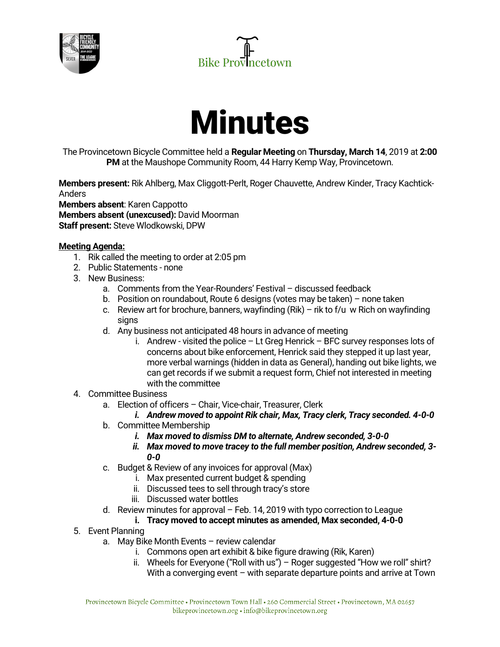





The Provincetown Bicycle Committee held a **Regular Meeting** on **Thursday, March 14**, 2019 at **2:00 PM** at the Maushope Community Room, 44 Harry Kemp Way, Provincetown.

**Members present:** Rik Ahlberg, Max Cliggott-Perlt, Roger Chauvette, Andrew Kinder, Tracy Kachtick-Anders

**Members absent**: Karen Cappotto **Members absent (unexcused):** David Moorman **Staff present:** Steve Wlodkowski, DPW

## **Meeting Agenda:**

- 1. Rik called the meeting to order at 2:05 pm
- 2. Public Statements none
- 3. New Business:
	- a. Comments from the Year-Rounders' Festival discussed feedback
	- b. Position on roundabout, Route 6 designs (votes may be taken) none taken
	- c. Review art for brochure, banners, wayfinding (Rik) rik to f/u w Rich on wayfinding signs
	- d. Any business not anticipated 48 hours in advance of meeting
		- i. Andrew visited the police Lt Greg Henrick BFC survey responses lots of concerns about bike enforcement, Henrick said they stepped it up last year, more verbal warnings (hidden in data as General), handing out bike lights, we can get records if we submit a request form, Chief not interested in meeting with the committee
- 4. Committee Business
	- a. Election of officers Chair, Vice-chair, Treasurer, Clerk
	- *i. Andrew moved to appoint Rik chair, Max, Tracy clerk, Tracy seconded. 4-0-0*
	- b. Committee Membership
		- *i. Max moved to dismiss DM to alternate, Andrew seconded, 3-0-0*
		- *ii. Max moved to move tracey to the full member position, Andrew seconded, 3- 0-0*
	- c. Budget & Review of any invoices for approval (Max)
		- i. Max presented current budget & spending
			- ii. Discussed tees to sell through tracy's store
		- iii. Discussed water bottles
	- d. Review minutes for approval Feb. 14, 2019 with typo correction to League

## **i. Tracy moved to accept minutes as amended, Max seconded, 4-0-0**

- 5. Event Planning
	- a. May Bike Month Events review calendar
		- i. Commons open art exhibit & bike figure drawing (Rik, Karen)
		- ii. Wheels for Everyone ("Roll with us") Roger suggested "How we roll" shirt? With a converging event – with separate departure points and arrive at Town